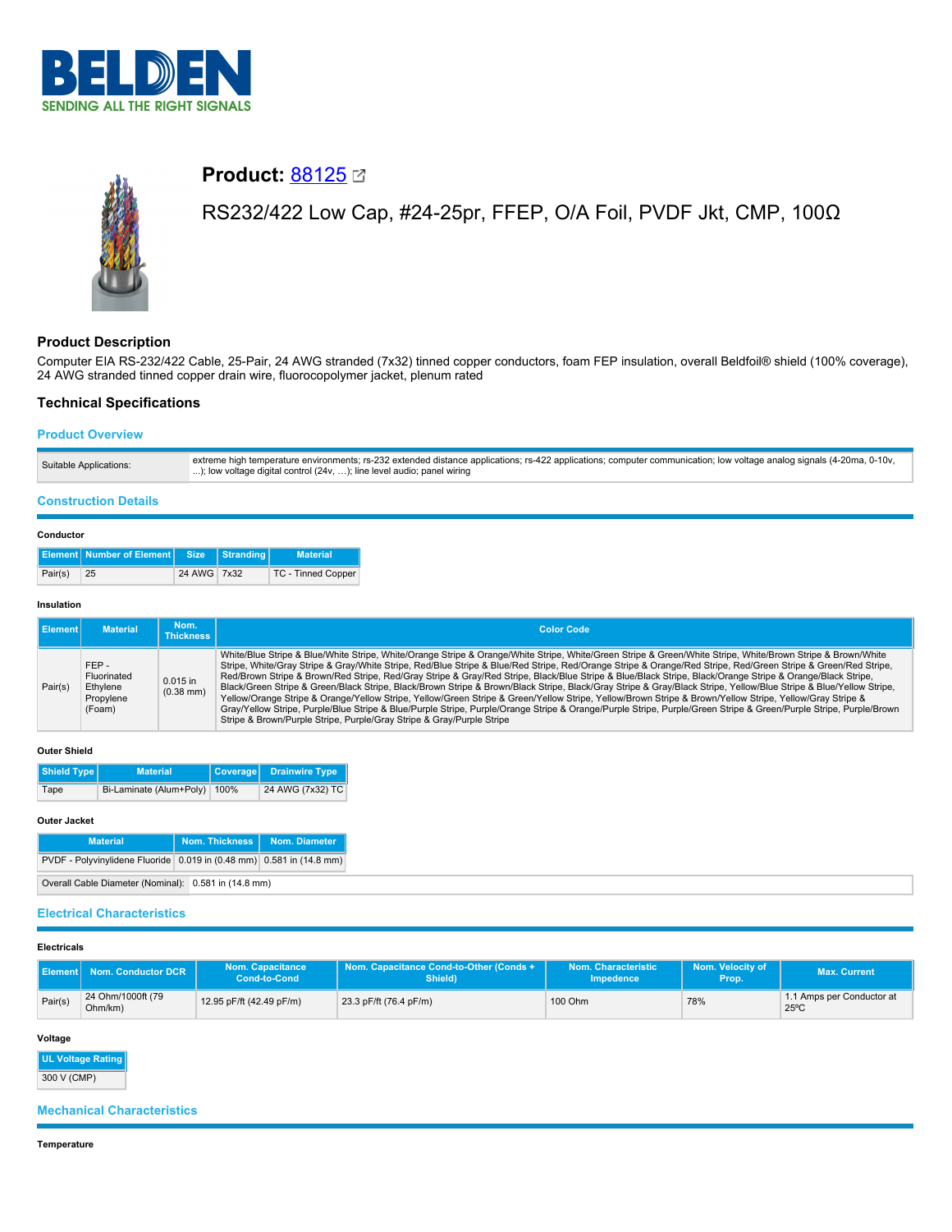



# **Product: [88125](https://catalog.belden.com/index.cfm?event=pd&p=PF_88125&tab=downloads) 2**

# RS232/422 Low Cap, #24-25pr, FFEP, O/A Foil, PVDF Jkt, CMP, 100Ω

# **Product Description**

Computer EIA RS-232/422 Cable, 25-Pair, 24 AWG stranded (7x32) tinned copper conductors, foam FEP insulation, overall Beldfoil® shield (100% coverage), 24 AWG stranded tinned copper drain wire, fluorocopolymer jacket, plenum rated

## **Technical Specifications**

## **Product Overview**

| Suitable Applications: | extreme high temperature environments; rs-232 extended distance applications; rs-422 applications; computer communication; low voltage analog signals (4-20ma, 0-10v,<br>); low voltage digital control (24v, ); line level audio; panel wiring |
|------------------------|-------------------------------------------------------------------------------------------------------------------------------------------------------------------------------------------------------------------------------------------------|
|------------------------|-------------------------------------------------------------------------------------------------------------------------------------------------------------------------------------------------------------------------------------------------|

## **Construction Details**

#### **Conductor**

|         | <b>Element Number of Element Size Stranding</b> |             | <b>Material</b>    |
|---------|-------------------------------------------------|-------------|--------------------|
| Pair(s) | 25                                              | 24 AWG 7x32 | TC - Tinned Copper |

#### **Insulation**

| <b>I</b> Element | <b>Material</b>                                        | Nom.<br><b>Thickness</b>  | <b>Color Code</b>                                                                                                                                                                                                                                                                                                                                                                                                                                                                                                                                                                                                                                                                                                                                                                                                                                                                                                                                                                                                                                                       |
|------------------|--------------------------------------------------------|---------------------------|-------------------------------------------------------------------------------------------------------------------------------------------------------------------------------------------------------------------------------------------------------------------------------------------------------------------------------------------------------------------------------------------------------------------------------------------------------------------------------------------------------------------------------------------------------------------------------------------------------------------------------------------------------------------------------------------------------------------------------------------------------------------------------------------------------------------------------------------------------------------------------------------------------------------------------------------------------------------------------------------------------------------------------------------------------------------------|
| Pair(s)          | FFP-<br>Fluorinated<br>Ethylene<br>Propylene<br>(Foam) | $0.015$ in<br>$(0.38$ mm) | White/Blue Stripe & Blue/White Stripe, White/Orange Stripe & Orange/White Stripe, White/Green Stripe & Green/White Stripe, White/Brown Stripe & Brown/White<br>Stripe, White/Gray Stripe & Gray/White Stripe, Red/Blue Stripe & Blue/Red Stripe, Red/Orange Stripe & Orange/Red Stripe, Red/Green Stripe & Green/Red Stripe,<br>Red/Brown Stripe & Brown/Red Stripe, Red/Gray Stripe & Gray/Red Stripe, Black/Blue Stripe & Blue/Black Stripe, Black/Orange Stripe & Orange/Black Stripe,<br>Black/Green Stripe & Green/Black Stripe, Black/Brown Stripe & Brown/Black Stripe, Black/Gray Stripe & Gray/Black Stripe, Yellow/Blue Stripe & Blue/Yellow Stripe,<br>Yellow/Orange Stripe & Orange/Yellow Stripe, Yellow/Green Stripe & Green/Yellow Stripe, Yellow/Brown Stripe & Brown/Yellow Stripe, Yellow/Gray Stripe &<br>Gray/Yellow Stripe, Purple/Blue Stripe & Blue/Purple Stripe, Purple/Orange Stripe & Orange/Purple Stripe, Purple/Green Stripe & Green/Purple Stripe, Purple/Brown<br>Stripe & Brown/Purple Stripe, Purple/Gray Stripe & Gray/Purple Stripe |

#### **Outer Shield**

| Shield Type                          | <b>Material</b> |  | Coverage Drainwire Type |
|--------------------------------------|-----------------|--|-------------------------|
| Bi-Laminate (Alum+Poly) 100%<br>Tape |                 |  | 24 AWG (7x32) TC        |

#### **Outer Jacket**

| <b>Material</b>                                                      | Nom. Thickness   Nom. Diameter |  |  |  |  |
|----------------------------------------------------------------------|--------------------------------|--|--|--|--|
| PVDF - Polyvinylidene Fluoride 0.019 in (0.48 mm) 0.581 in (14.8 mm) |                                |  |  |  |  |
| Overall Cable Diameter (Nominal): 0.581 in (14.8 mm)                 |                                |  |  |  |  |

## **Electrical Characteristics**

| <b>Electricals</b> |                              |                                                |                                                    |                                         |                           |                                             |
|--------------------|------------------------------|------------------------------------------------|----------------------------------------------------|-----------------------------------------|---------------------------|---------------------------------------------|
|                    | Element   Nom. Conductor DCR | <b>Nom. Capacitance</b><br><b>Cond-to-Cond</b> | Nom. Capacitance Cond-to-Other (Conds +<br>Shield) | Nom. Characteristic<br><b>Impedence</b> | Nom. Velocity of<br>Prop. | <b>Max. Current</b>                         |
| Pair(s)            | 24 Ohm/1000ft (79<br>Ohm/km) | 12.95 pF/ft (42.49 pF/m)                       | 23.3 pF/ft (76.4 pF/m)                             | 100 Ohm                                 | 78%                       | 1.1 Amps per Conductor at<br>$25^{\circ}$ C |

#### **Voltage**

**UL Voltage Rating** 300 V (CMP)

# **Mechanical Characteristics**

**Temperature**